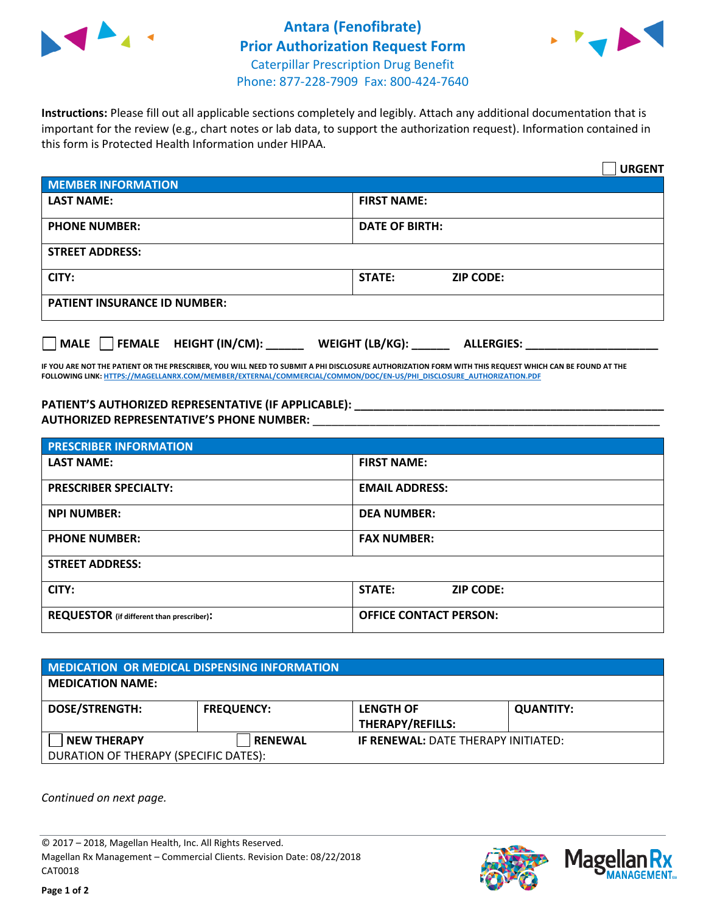

## **Antara (Fenofibrate) Prior Authorization Request Form** Caterpillar Prescription Drug Benefit Phone: 877-228-7909 Fax: 800-424-7640



**Instructions:** Please fill out all applicable sections completely and legibly. Attach any additional documentation that is important for the review (e.g., chart notes or lab data, to support the authorization request). Information contained in this form is Protected Health Information under HIPAA.

|                                                                             | <b>URGENT</b>              |  |
|-----------------------------------------------------------------------------|----------------------------|--|
| <b>MEMBER INFORMATION</b>                                                   |                            |  |
| <b>LAST NAME:</b>                                                           | <b>FIRST NAME:</b>         |  |
| <b>PHONE NUMBER:</b>                                                        | <b>DATE OF BIRTH:</b>      |  |
| <b>STREET ADDRESS:</b>                                                      |                            |  |
| CITY:                                                                       | <b>ZIP CODE:</b><br>STATE: |  |
| <b>PATIENT INSURANCE ID NUMBER:</b>                                         |                            |  |
| FEMALE HEIGHT (IN/CM):<br>WEIGHT (LB/KG): _<br>   MALE<br><b>ALLERGIES:</b> |                            |  |

**IF YOU ARE NOT THE PATIENT OR THE PRESCRIBER, YOU WILL NEED TO SUBMIT A PHI DISCLOSURE AUTHORIZATION FORM WITH THIS REQUEST WHICH CAN BE FOUND AT THE FOLLOWING LINK[: HTTPS://MAGELLANRX.COM/MEMBER/EXTERNAL/COMMERCIAL/COMMON/DOC/EN-US/PHI\\_DISCLOSURE\\_AUTHORIZATION.PDF](https://magellanrx.com/member/external/commercial/common/doc/en-us/PHI_Disclosure_Authorization.pdf)**

**PATIENT'S AUTHORIZED REPRESENTATIVE (IF APPLICABLE): \_\_\_\_\_\_\_\_\_\_\_\_\_\_\_\_\_\_\_\_\_\_\_\_\_\_\_\_\_\_\_\_\_\_\_\_\_\_\_\_\_\_\_\_\_\_\_\_\_ AUTHORIZED REPRESENTATIVE'S PHONE NUMBER:** \_\_\_\_\_\_\_\_\_\_\_\_\_\_\_\_\_\_\_\_\_\_\_\_\_\_\_\_\_\_\_\_\_\_\_\_\_\_\_\_\_\_\_\_\_\_\_\_\_\_\_\_\_\_\_

| <b>PRESCRIBER INFORMATION</b>             |                               |  |
|-------------------------------------------|-------------------------------|--|
| <b>LAST NAME:</b>                         | <b>FIRST NAME:</b>            |  |
| <b>PRESCRIBER SPECIALTY:</b>              | <b>EMAIL ADDRESS:</b>         |  |
| <b>NPI NUMBER:</b>                        | <b>DEA NUMBER:</b>            |  |
| <b>PHONE NUMBER:</b>                      | <b>FAX NUMBER:</b>            |  |
| <b>STREET ADDRESS:</b>                    |                               |  |
| CITY:                                     | STATE:<br><b>ZIP CODE:</b>    |  |
| REQUESTOR (if different than prescriber): | <b>OFFICE CONTACT PERSON:</b> |  |

| <b>MEDICATION OR MEDICAL DISPENSING INFORMATION</b> |                   |                                            |                  |
|-----------------------------------------------------|-------------------|--------------------------------------------|------------------|
| <b>MEDICATION NAME:</b>                             |                   |                                            |                  |
| <b>DOSE/STRENGTH:</b>                               | <b>FREQUENCY:</b> | <b>LENGTH OF</b>                           | <b>QUANTITY:</b> |
|                                                     |                   | <b>THERAPY/REFILLS:</b>                    |                  |
| <b>NEW THERAPY</b>                                  | <b>RENEWAL</b>    | <b>IF RENEWAL: DATE THERAPY INITIATED:</b> |                  |
| DURATION OF THERAPY (SPECIFIC DATES):               |                   |                                            |                  |

*Continued on next page.*

© 2017 – 2018, Magellan Health, Inc. All Rights Reserved. Magellan Rx Management – Commercial Clients. Revision Date: 08/22/2018 CAT0018



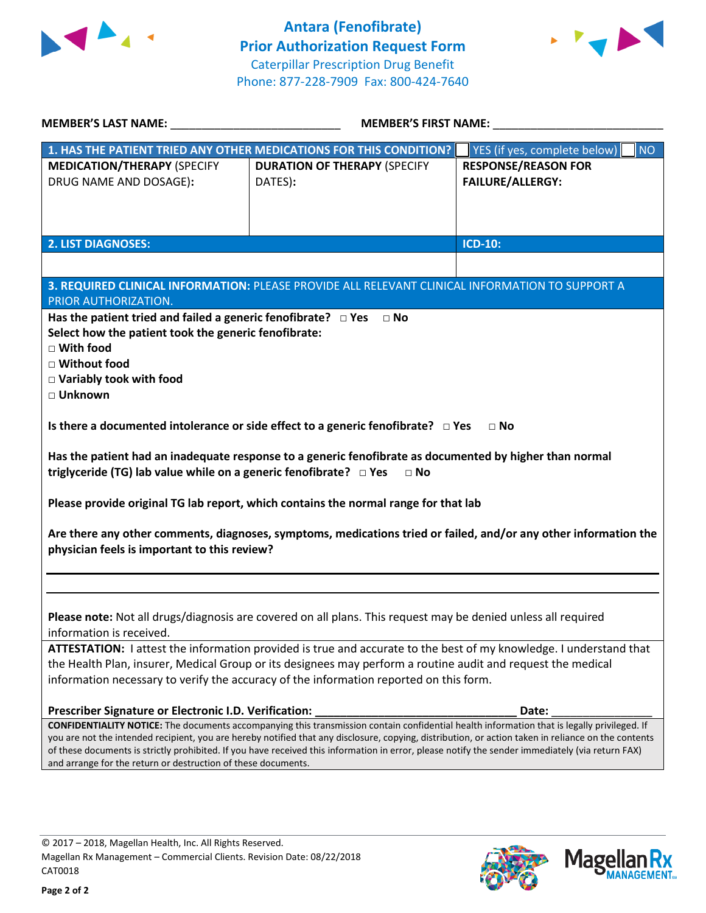



| <b>MEMBER'S LAST NAME:</b>                                                                                                                                                                             | <b>MEMBER'S FIRST NAME:</b>                                                                                                                                                                                                                                                                             |                                           |
|--------------------------------------------------------------------------------------------------------------------------------------------------------------------------------------------------------|---------------------------------------------------------------------------------------------------------------------------------------------------------------------------------------------------------------------------------------------------------------------------------------------------------|-------------------------------------------|
|                                                                                                                                                                                                        | 1. HAS THE PATIENT TRIED ANY OTHER MEDICATIONS FOR THIS CONDITION?                                                                                                                                                                                                                                      | YES (if yes, complete below)<br><b>NO</b> |
| <b>MEDICATION/THERAPY (SPECIFY</b>                                                                                                                                                                     | <b>DURATION OF THERAPY (SPECIFY</b>                                                                                                                                                                                                                                                                     | <b>RESPONSE/REASON FOR</b>                |
| DRUG NAME AND DOSAGE):                                                                                                                                                                                 | DATES):                                                                                                                                                                                                                                                                                                 | <b>FAILURE/ALLERGY:</b>                   |
|                                                                                                                                                                                                        |                                                                                                                                                                                                                                                                                                         |                                           |
|                                                                                                                                                                                                        |                                                                                                                                                                                                                                                                                                         |                                           |
| <b>2. LIST DIAGNOSES:</b>                                                                                                                                                                              |                                                                                                                                                                                                                                                                                                         | <b>ICD-10:</b>                            |
|                                                                                                                                                                                                        |                                                                                                                                                                                                                                                                                                         |                                           |
|                                                                                                                                                                                                        |                                                                                                                                                                                                                                                                                                         |                                           |
| PRIOR AUTHORIZATION.                                                                                                                                                                                   | 3. REQUIRED CLINICAL INFORMATION: PLEASE PROVIDE ALL RELEVANT CLINICAL INFORMATION TO SUPPORT A                                                                                                                                                                                                         |                                           |
| Has the patient tried and failed a generic fenofibrate? $\Box$ Yes                                                                                                                                     | $\Box$ No                                                                                                                                                                                                                                                                                               |                                           |
| Select how the patient took the generic fenofibrate:                                                                                                                                                   |                                                                                                                                                                                                                                                                                                         |                                           |
| □ With food                                                                                                                                                                                            |                                                                                                                                                                                                                                                                                                         |                                           |
| □ Without food                                                                                                                                                                                         |                                                                                                                                                                                                                                                                                                         |                                           |
| □ Variably took with food                                                                                                                                                                              |                                                                                                                                                                                                                                                                                                         |                                           |
| □ Unknown                                                                                                                                                                                              |                                                                                                                                                                                                                                                                                                         |                                           |
| Is there a documented intolerance or side effect to a generic fenofibrate? $\square$ Yes<br>$\Box$ No                                                                                                  |                                                                                                                                                                                                                                                                                                         |                                           |
| Has the patient had an inadequate response to a generic fenofibrate as documented by higher than normal<br>triglyceride (TG) lab value while on a generic fenofibrate? $\Box$ Yes<br>$\Box$ No         |                                                                                                                                                                                                                                                                                                         |                                           |
|                                                                                                                                                                                                        | Please provide original TG lab report, which contains the normal range for that lab                                                                                                                                                                                                                     |                                           |
| Are there any other comments, diagnoses, symptoms, medications tried or failed, and/or any other information the<br>physician feels is important to this review?                                       |                                                                                                                                                                                                                                                                                                         |                                           |
|                                                                                                                                                                                                        |                                                                                                                                                                                                                                                                                                         |                                           |
|                                                                                                                                                                                                        |                                                                                                                                                                                                                                                                                                         |                                           |
|                                                                                                                                                                                                        | Please note: Not all drugs/diagnosis are covered on all plans. This request may be denied unless all required                                                                                                                                                                                           |                                           |
| information is received.                                                                                                                                                                               |                                                                                                                                                                                                                                                                                                         |                                           |
| ATTESTATION: I attest the information provided is true and accurate to the best of my knowledge. I understand that                                                                                     |                                                                                                                                                                                                                                                                                                         |                                           |
| the Health Plan, insurer, Medical Group or its designees may perform a routine audit and request the medical<br>information necessary to verify the accuracy of the information reported on this form. |                                                                                                                                                                                                                                                                                                         |                                           |
|                                                                                                                                                                                                        |                                                                                                                                                                                                                                                                                                         |                                           |
| Prescriber Signature or Electronic I.D. Verification:                                                                                                                                                  |                                                                                                                                                                                                                                                                                                         | Date:                                     |
|                                                                                                                                                                                                        | <b>CONFIDENTIALITY NOTICE:</b> The documents accompanying this transmission contain confidential health information that is legally privileged. If                                                                                                                                                      |                                           |
|                                                                                                                                                                                                        | you are not the intended recipient, you are hereby notified that any disclosure, copying, distribution, or action taken in reliance on the contents<br>of these documents is strictly prohibited. If you have received this information in error, please notify the sender immediately (via return FAX) |                                           |
| and arrange for the return or destruction of these documents.                                                                                                                                          |                                                                                                                                                                                                                                                                                                         |                                           |
|                                                                                                                                                                                                        |                                                                                                                                                                                                                                                                                                         |                                           |



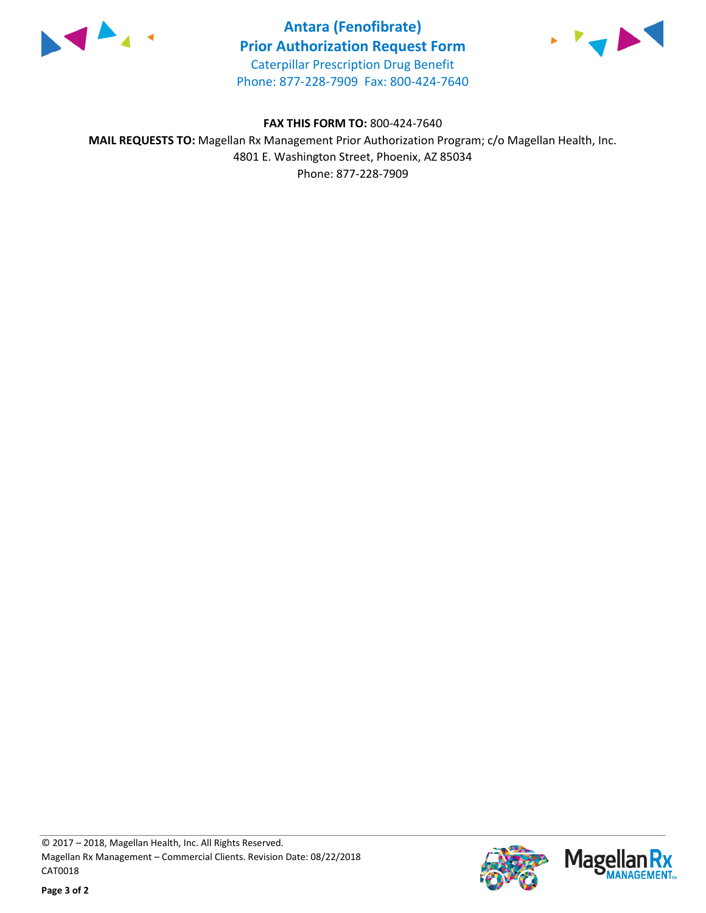

**Antara (Fenofibrate) Prior Authorization Request Form** Caterpillar Prescription Drug Benefit Phone: 877-228-7909 Fax: 800-424-7640



**FAX THIS FORM TO:** 800-424-7640 **MAIL REQUESTS TO:** Magellan Rx Management Prior Authorization Program; c/o Magellan Health, Inc. 4801 E. Washington Street, Phoenix, AZ 85034 Phone: 877-228-7909



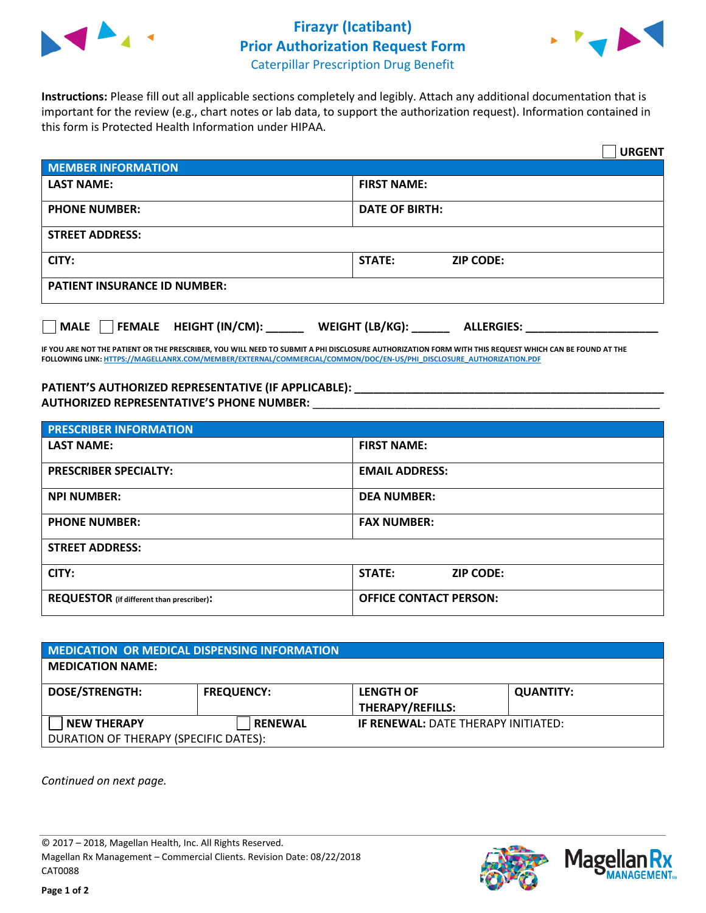

## **Firazyr (Icatibant) Prior Authorization Request Form**



Caterpillar Prescription Drug Benefit

**Instructions:** Please fill out all applicable sections completely and legibly. Attach any additional documentation that is important for the review (e.g., chart notes or lab data, to support the authorization request). Information contained in this form is Protected Health Information under HIPAA.

|                                     | <b>URGENT</b>                     |  |
|-------------------------------------|-----------------------------------|--|
| <b>MEMBER INFORMATION</b>           |                                   |  |
| <b>LAST NAME:</b>                   | <b>FIRST NAME:</b>                |  |
| <b>PHONE NUMBER:</b>                | <b>DATE OF BIRTH:</b>             |  |
| <b>STREET ADDRESS:</b>              |                                   |  |
| CITY:                               | <b>STATE:</b><br><b>ZIP CODE:</b> |  |
| <b>PATIENT INSURANCE ID NUMBER:</b> |                                   |  |
| <b>ALLERGIES:</b>                   |                                   |  |

**IF YOU ARE NOT THE PATIENT OR THE PRESCRIBER, YOU WILL NEED TO SUBMIT A PHI DISCLOSURE AUTHORIZATION FORM WITH THIS REQUEST WHICH CAN BE FOUND AT THE FOLLOWING LINK[: HTTPS://MAGELLANRX.COM/MEMBER/EXTERNAL/COMMERCIAL/COMMON/DOC/EN-US/PHI\\_DISCLOSURE\\_AUTHORIZATION.PDF](https://magellanrx.com/member/external/commercial/common/doc/en-us/PHI_Disclosure_Authorization.pdf)**

## PATIENT'S AUTHORIZED REPRESENTATIVE (IF APPLICABLE): \_\_\_\_\_\_\_\_\_\_\_\_\_\_\_\_\_\_\_\_\_\_\_\_\_\_\_ **AUTHORIZED REPRESENTATIVE'S PHONE NUMBER:** \_\_\_\_\_\_\_\_\_\_\_\_\_\_\_\_\_\_\_\_\_\_\_\_\_\_\_\_\_\_\_\_\_\_\_\_\_\_\_\_\_\_\_\_\_\_\_\_\_\_\_\_\_\_\_

| <b>PRESCRIBER INFORMATION</b>             |                               |  |
|-------------------------------------------|-------------------------------|--|
| <b>LAST NAME:</b>                         | <b>FIRST NAME:</b>            |  |
| <b>PRESCRIBER SPECIALTY:</b>              | <b>EMAIL ADDRESS:</b>         |  |
| <b>NPI NUMBER:</b>                        | <b>DEA NUMBER:</b>            |  |
| <b>PHONE NUMBER:</b>                      | <b>FAX NUMBER:</b>            |  |
| <b>STREET ADDRESS:</b>                    |                               |  |
| CITY:                                     | STATE:<br><b>ZIP CODE:</b>    |  |
| REQUESTOR (if different than prescriber): | <b>OFFICE CONTACT PERSON:</b> |  |

| MEDICATION OR MEDICAL DISPENSING INFORMATION |                   |                                            |                  |
|----------------------------------------------|-------------------|--------------------------------------------|------------------|
| <b>MEDICATION NAME:</b>                      |                   |                                            |                  |
| <b>DOSE/STRENGTH:</b>                        | <b>FREQUENCY:</b> | <b>LENGTH OF</b>                           | <b>QUANTITY:</b> |
|                                              |                   | <b>THERAPY/REFILLS:</b>                    |                  |
| <b>NEW THERAPY</b>                           | <b>RENEWAL</b>    | <b>IF RENEWAL: DATE THERAPY INITIATED:</b> |                  |
| DURATION OF THERAPY (SPECIFIC DATES):        |                   |                                            |                  |

*Continued on next page.*

© 2017 – 2018, Magellan Health, Inc. All Rights Reserved. Magellan Rx Management – Commercial Clients. Revision Date: 08/22/2018 CAT0088

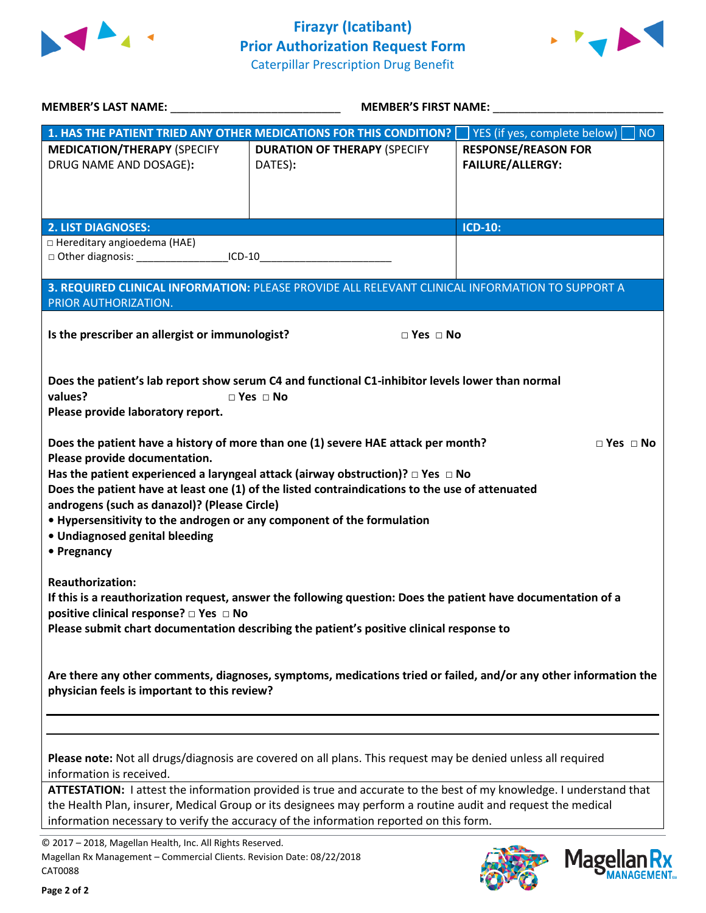



| MEMBER'S LAST NAME: NAME AND A STATE AND A STATE OF THE STATE OF THE STATE OF THE STATE OF THE STATE OF THE ST                                                                                                                                                                                                                                                                                                                                                                                                                                                                                                                                                                                          | <b>MEMBER'S FIRST NAME:</b>                    |                                                           |  |
|---------------------------------------------------------------------------------------------------------------------------------------------------------------------------------------------------------------------------------------------------------------------------------------------------------------------------------------------------------------------------------------------------------------------------------------------------------------------------------------------------------------------------------------------------------------------------------------------------------------------------------------------------------------------------------------------------------|------------------------------------------------|-----------------------------------------------------------|--|
| 1. HAS THE PATIENT TRIED ANY OTHER MEDICATIONS FOR THIS CONDITION?                                                                                                                                                                                                                                                                                                                                                                                                                                                                                                                                                                                                                                      |                                                | $\vert$ YES (if yes, complete below)<br>$\blacksquare$ NO |  |
| <b>MEDICATION/THERAPY (SPECIFY</b><br>DRUG NAME AND DOSAGE):                                                                                                                                                                                                                                                                                                                                                                                                                                                                                                                                                                                                                                            | <b>DURATION OF THERAPY (SPECIFY</b><br>DATES): | <b>RESPONSE/REASON FOR</b><br><b>FAILURE/ALLERGY:</b>     |  |
| <b>2. LIST DIAGNOSES:</b>                                                                                                                                                                                                                                                                                                                                                                                                                                                                                                                                                                                                                                                                               |                                                | <b>ICD-10:</b>                                            |  |
| □ Hereditary angioedema (HAE)<br>□ Other diagnosis: _____________________ICD-10_________________________________                                                                                                                                                                                                                                                                                                                                                                                                                                                                                                                                                                                        |                                                |                                                           |  |
| 3. REQUIRED CLINICAL INFORMATION: PLEASE PROVIDE ALL RELEVANT CLINICAL INFORMATION TO SUPPORT A<br>PRIOR AUTHORIZATION.                                                                                                                                                                                                                                                                                                                                                                                                                                                                                                                                                                                 |                                                |                                                           |  |
| Is the prescriber an allergist or immunologist?                                                                                                                                                                                                                                                                                                                                                                                                                                                                                                                                                                                                                                                         | $\Box$ Yes $\Box$ No                           |                                                           |  |
| Does the patient's lab report show serum C4 and functional C1-inhibitor levels lower than normal<br>values?<br>$\square$ Yes $\square$ No<br>Please provide laboratory report.<br>Does the patient have a history of more than one (1) severe HAE attack per month?<br>$\Box$ Yes $\Box$ No<br>Please provide documentation.<br>Has the patient experienced a laryngeal attack (airway obstruction)? $\Box$ Yes $\Box$ No<br>Does the patient have at least one (1) of the listed contraindications to the use of attenuated<br>androgens (such as danazol)? (Please Circle)<br>• Hypersensitivity to the androgen or any component of the formulation<br>• Undiagnosed genital bleeding<br>• Pregnancy |                                                |                                                           |  |
| <b>Reauthorization:</b><br>If this is a reauthorization request, answer the following question: Does the patient have documentation of a<br>positive clinical response? $\Box$ Yes $\Box$ No<br>Please submit chart documentation describing the patient's positive clinical response to                                                                                                                                                                                                                                                                                                                                                                                                                |                                                |                                                           |  |
| Are there any other comments, diagnoses, symptoms, medications tried or failed, and/or any other information the<br>physician feels is important to this review?                                                                                                                                                                                                                                                                                                                                                                                                                                                                                                                                        |                                                |                                                           |  |
|                                                                                                                                                                                                                                                                                                                                                                                                                                                                                                                                                                                                                                                                                                         |                                                |                                                           |  |
| Please note: Not all drugs/diagnosis are covered on all plans. This request may be denied unless all required<br>information is received.<br>ATTESTATION: I attest the information provided is true and accurate to the best of my knowledge. I understand that<br>the Health Plan, insurer, Medical Group or its designees may perform a routine audit and request the medical<br>information necessary to verify the accuracy of the information reported on this form.                                                                                                                                                                                                                               |                                                |                                                           |  |

© 2017 – 2018, Magellan Health, Inc. All Rights Reserved. Magellan Rx Management – Commercial Clients. Revision Date: 08/22/2018 CAT0088